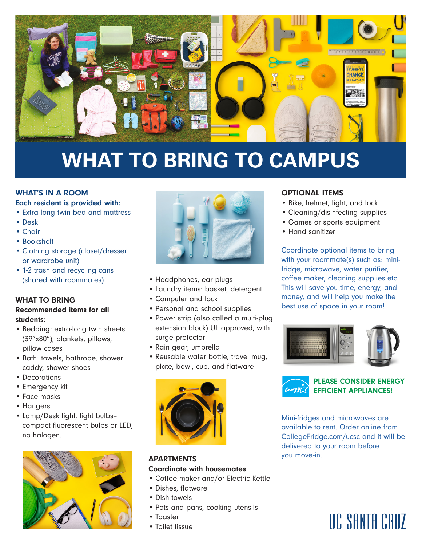

# **WHAT TO BRING TO CAMPUS**

### WHAT'S IN A ROOM

### Each resident is provided with:

- Extra long twin bed and mattress
- Desk
- Chair
- Bookshelf
- Clothing storage (closet/dresser or wardrobe unit)
- 1-2 trash and recycling cans (shared with roommates)

#### WHAT TO BRING

#### Recommended items for all students:

- Bedding: extra-long twin sheets (39"x80"), blankets, pillows, pillow cases
- Bath: towels, bathrobe, shower caddy, shower shoes
- Decorations
- Emergency kit
- Face masks
- Hangers
- Lamp/Desk light, light bulbs– compact fluorescent bulbs or LED, no halogen.





- Headphones, ear plugs
- Laundry items: basket, detergent
- Computer and lock
- Personal and school supplies
- Power strip (also called a multi-plug extension block) UL approved, with surge protector
- Rain gear, umbrella
- Reusable water bottle, travel mug, plate, bowl, cup, and flatware



#### **APARTMENTS** Coordinate with housemates

- Coffee maker and/or Electric Kettle
- Dishes, flatware
- Dish towels
- Pots and pans, cooking utensils
- Toaster
- Toilet tissue

#### OPTIONAL ITEMS

- Bike, helmet, light, and lock
- Cleaning/disinfecting supplies
- Games or sports equipment
- Hand sanitizer

Coordinate optional items to bring with your roommate(s) such as: minifridge, microwave, water purifier, coffee maker, cleaning supplies etc. This will save you time, energy, and money, and will help you make the best use of space in your room!





PLEASE CONSIDER ENERGY EFFICIENT APPLIANCES!

Mini-fridges and microwaves are available to rent. Order online from CollegeFridge.com/ucsc and it will be delivered to your room before you move-in.

## UC SANTA CRUZ